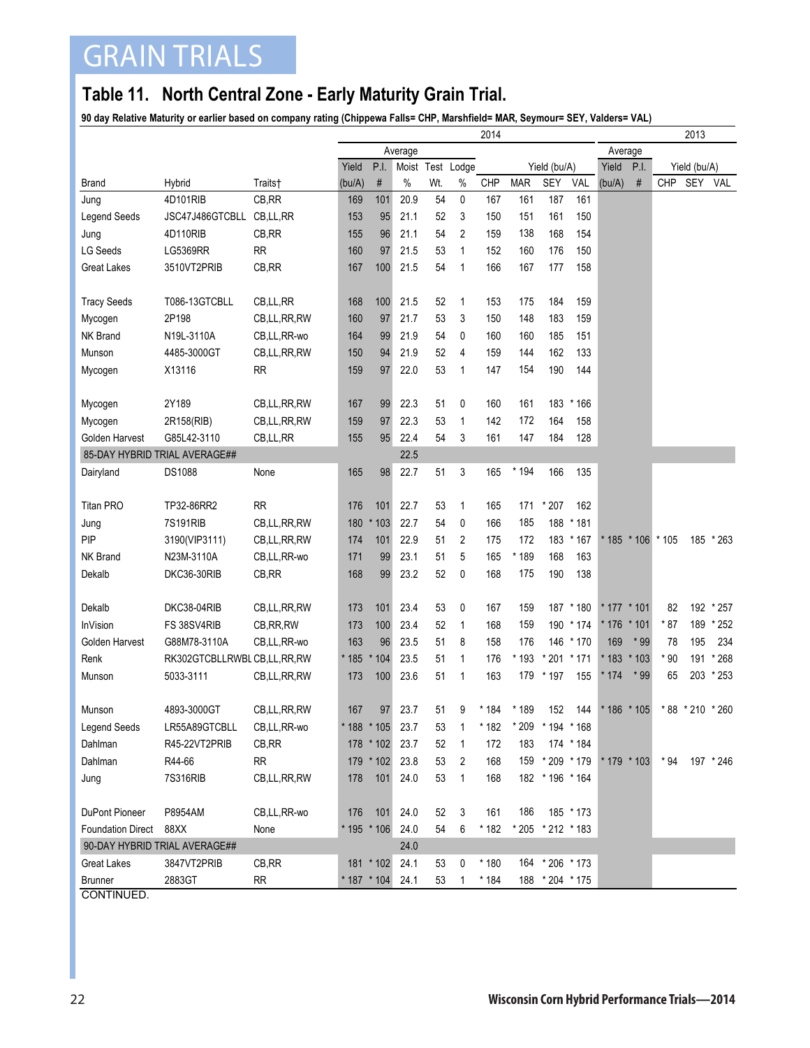## GRAIN TRIALS

## **Table 11. North Central Zone - Early Maturity Grain Trial.**

**90 day Relative Maturity or earlier based on company rating (Chippewa Falls= CHP, Marshfield= MAR, Seymour= SEY, Valders= VAL)**

|                               |                               |                |        |                  |         | 2013 |                  |            |            |                   |           |               |                   |              |                  |           |  |  |
|-------------------------------|-------------------------------|----------------|--------|------------------|---------|------|------------------|------------|------------|-------------------|-----------|---------------|-------------------|--------------|------------------|-----------|--|--|
|                               |                               |                |        |                  | Average |      |                  |            |            |                   |           |               | Average           |              |                  |           |  |  |
|                               |                               |                | Yield  | P.I.             |         |      | Moist Test Lodge |            |            | Yield (bu/A)      |           | Yield         | P.I.              | Yield (bu/A) |                  |           |  |  |
| <b>Brand</b>                  | Hybrid                        | Traits†        | (bu/A) | $\#$             | $\%$    | Wt.  | $\%$             | <b>CHP</b> | <b>MAR</b> | <b>SEY</b>        | VAL       | (bu/A)        | $\#$              | <b>CHP</b>   | SEY              | VAL       |  |  |
| Jung                          | 4D101RIB                      | CB, RR         | 169    | 101              | 20.9    | 54   | 0                | 167        | 161        | 187               | 161       |               |                   |              |                  |           |  |  |
| <b>Legend Seeds</b>           | JSC47J486GTCBLL CB,LL,RR      |                | 153    | 95               | 21.1    | 52   | 3                | 150        | 151        | 161               | 150       |               |                   |              |                  |           |  |  |
| Jung                          | 4D110RIB                      | CB, RR         | 155    | 96               | 21.1    | 54   | 2                | 159        | 138        | 168               | 154       |               |                   |              |                  |           |  |  |
| <b>LG Seeds</b>               | <b>LG5369RR</b>               | <b>RR</b>      | 160    | 97               | 21.5    | 53   | 1                | 152        | 160        | 176               | 150       |               |                   |              |                  |           |  |  |
| <b>Great Lakes</b>            | 3510VT2PRIB                   | CB, RR         | 167    | 100              | 21.5    | 54   | 1                | 166        | 167        | 177               | 158       |               |                   |              |                  |           |  |  |
|                               |                               |                |        |                  |         |      |                  |            |            |                   |           |               |                   |              |                  |           |  |  |
| <b>Tracy Seeds</b>            | T086-13GTCBLL                 | CB,LL,RR       | 168    | 100              | 21.5    | 52   | $\mathbf{1}$     | 153        | 175        | 184               | 159       |               |                   |              |                  |           |  |  |
| Mycogen                       | 2P198                         | CB,LL,RR,RW    | 160    | 97               | 21.7    | 53   | 3                | 150        | 148        | 183               | 159       |               |                   |              |                  |           |  |  |
| NK Brand                      | N19L-3110A                    | CB,LL,RR-wo    | 164    | 99               | 21.9    | 54   | 0                | 160        | 160        | 185               | 151       |               |                   |              |                  |           |  |  |
| Munson                        | 4485-3000GT                   | CB,LL,RR,RW    | 150    | 94               | 21.9    | 52   | 4                | 159        | 144        | 162               | 133       |               |                   |              |                  |           |  |  |
| Mycogen                       | X13116                        | <b>RR</b>      | 159    | 97               | 22.0    | 53   | 1                | 147        | 154        | 190               | 144       |               |                   |              |                  |           |  |  |
|                               |                               |                |        |                  |         |      |                  |            |            |                   |           |               |                   |              |                  |           |  |  |
| Mycogen                       | 2Y189                         | CB,LL,RR,RW    | 167    | 99               | 22.3    | 51   | 0                | 160        | 161        | 183               | * 166     |               |                   |              |                  |           |  |  |
| Mycogen                       | 2R158(RIB)                    | CB, LL, RR, RW | 159    | 97               | 22.3    | 53   | 1                | 142        | 172        | 164               | 158       |               |                   |              |                  |           |  |  |
| Golden Harvest                | G85L42-3110                   | CB,LL,RR       | 155    | 95               | 22.4    | 54   | 3                | 161        | 147        | 184               | 128       |               |                   |              |                  |           |  |  |
|                               | 85-DAY HYBRID TRIAL AVERAGE## |                |        |                  | 22.5    |      |                  |            |            |                   |           |               |                   |              |                  |           |  |  |
| Dairyland                     | DS1088                        | None           | 165    | 98               | 22.7    | 51   | 3                | 165        | * 194      | 166               | 135       |               |                   |              |                  |           |  |  |
|                               |                               |                |        |                  |         |      |                  |            |            |                   |           |               |                   |              |                  |           |  |  |
| <b>Titan PRO</b>              | TP32-86RR2                    | <b>RR</b>      | 176    | 101              | 22.7    | 53   | $\mathbf{1}$     | 165        | 171        | $*207$            | 162       |               |                   |              |                  |           |  |  |
| Jung                          | 7S191RIB                      | CB,LL,RR,RW    | 180    | $*103$           | 22.7    | 54   | 0                | 166        | 185        | 188               | $*181$    |               |                   |              |                  |           |  |  |
| PIP                           | 3190(VIP3111)                 | CB, LL, RR, RW | 174    | 101              | 22.9    | 51   | 2                | 175        | 172        | 183               | $*167$    |               | * 185 * 106 * 105 |              |                  | 185 * 263 |  |  |
| NK Brand                      | N23M-3110A                    | CB,LL,RR-wo    | 171    | 99               | 23.1    | 51   | 5                | 165        | * 189      | 168               | 163       |               |                   |              |                  |           |  |  |
| Dekalb                        | DKC36-30RIB                   | CB, RR         | 168    | 99               | 23.2    | 52   | 0                | 168        | 175        | 190               | 138       |               |                   |              |                  |           |  |  |
|                               |                               |                |        |                  |         |      |                  |            |            |                   |           |               |                   |              |                  |           |  |  |
| Dekalb                        | DKC38-04RIB                   | CB, LL, RR, RW | 173    | 101              | 23.4    | 53   | 0                | 167        | 159        |                   | 187 * 180 |               | * 177 * 101       | 82           |                  | 192 * 257 |  |  |
| <b>InVision</b>               | FS 38SV4RIB                   | CB, RR, RW     | 173    | 100              | 23.4    | 52   | 1                | 168        | 159        |                   | 190 * 174 | * 176         | $*101$            | * 87         | 189              | $*252$    |  |  |
| Golden Harvest                | G88M78-3110A                  | CB,LL,RR-wo    | 163    | 96               | 23.5    | 51   | 8                | 158        | 176        |                   | 146 * 170 | 169           | $*99$             | 78           | 195              | 234       |  |  |
| Renk                          | RK302GTCBLLRWBLCB,LL,RR,RW    |                | * 185  | $*104$           | 23.5    | 51   | $\mathbf{1}$     | 176        | * 193      | $*201$            | $*171$    | * 183         | $*103$            | * 90         | 191              | * 268     |  |  |
| Munson                        | 5033-3111                     | CB,LL,RR,RW    | 173    | 100              | 23.6    | 51   | $\mathbf{1}$     | 163        | 179        | * 197             | 155       | * 174         | $*99$             | 65           |                  | 203 * 253 |  |  |
|                               |                               |                |        |                  |         |      |                  |            |            |                   |           |               |                   |              |                  |           |  |  |
| Munson                        | 4893-3000GT                   | CB, LL, RR, RW | 167    | 97               | 23.7    | 51   | 9                | * 184      | * 189      | 152               | 144       |               | * 186 * 105       |              | * 88 * 210 * 260 |           |  |  |
| <b>Legend Seeds</b>           | LR55A89GTCBLL                 | CB,LL,RR-wo    |        | * 188 * 105 23.7 |         | 53   | 1                | * 182      | * 209      | * 194 * 168       |           |               |                   |              |                  |           |  |  |
| Dahlman                       | R45-22VT2PRIB                 | CB, RR         |        | 178 * 102        | 23.7    | 52   | 1                | 172        | 183        |                   | 174 * 184 |               |                   |              |                  |           |  |  |
| Dahlman                       | R44-66                        | <b>RR</b>      |        | 179 * 102        | 23.8    | 53   | $\overline{2}$   | 168        |            | 159 * 209 * 179   |           | $* 179 * 103$ |                   | $*94$        |                  | 197 * 246 |  |  |
| Jung                          | 7S316RIB                      | CB,LL,RR,RW    | 178    | 101              | 24.0    | 53   | $\mathbf{1}$     | 168        |            | 182 * 196 * 164   |           |               |                   |              |                  |           |  |  |
|                               |                               |                |        |                  |         |      |                  |            |            |                   |           |               |                   |              |                  |           |  |  |
| DuPont Pioneer                | P8954AM                       | CB, LL, RR-wo  | 176    | 101              | 24.0    | 52   | 3                | 161        | 186        |                   | 185 * 173 |               |                   |              |                  |           |  |  |
| <b>Foundation Direct</b>      | 88XX                          | None           |        | $* 195 * 106$    | 24.0    | 54   | 6                | * 182      |            | * 205 * 212 * 183 |           |               |                   |              |                  |           |  |  |
| 90-DAY HYBRID TRIAL AVERAGE## |                               |                | 24.0   |                  |         |      |                  |            |            |                   |           |               |                   |              |                  |           |  |  |
| <b>Great Lakes</b>            | 3847VT2PRIB                   | CB,RR          |        | 181 * 102        | 24.1    | 53   | 0                | * 180      |            | 164 * 206 * 173   |           |               |                   |              |                  |           |  |  |
| <b>Brunner</b>                | 2883GT                        | <b>RR</b>      |        | * 187 * 104      | 24.1    | 53   | 1                | * 184      |            | 188 * 204 * 175   |           |               |                   |              |                  |           |  |  |
| <b>CONTINUED</b>              |                               |                |        |                  |         |      |                  |            |            |                   |           |               |                   |              |                  |           |  |  |

CONTINUED.